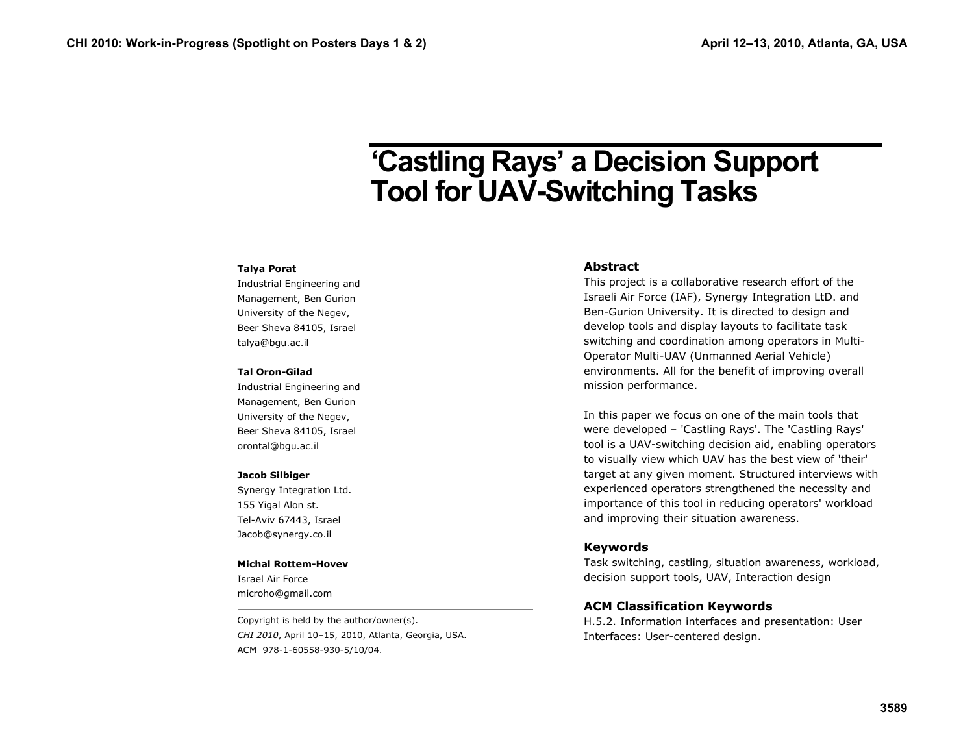# **'Castling Rays' a Decision Support Tool for UAV-Switching Tasks**

#### **Talya Porat**

Industrial Engineering and Management, Ben Gurion University of the Negev, Beer Sheva 84105, Israel talya@bgu.ac.il

#### **Tal Oron-Gilad**

Industrial Engineering and Management, Ben Gurion University of the Negev, Beer Sheva 84105, Israel orontal@bgu.ac.il

#### **Jacob Silbiger**

Synergy Integration Ltd. 155 Yigal Alon st. Tel-Aviv 67443, Israel Jacob@synergy.co.il

#### **Michal Rottem-Hovev**

Israel Air Force microho@gmail.com

Copyright is held by the author/owner(s). *CHI 2010*, April 10–15, 2010, Atlanta, Georgia, USA. ACM 978-1-60558-930-5/10/04.

#### **Abstract**

This project is a collaborative research effort of the Israeli Air Force (IAF), Synergy Integration LtD. and Ben-Gurion University. It is directed to design and develop tools and display layouts to facilitate task switching and coordination among operators in Multi-Operator Multi-UAV (Unmanned Aerial Vehicle) environments. All for the benefit of improving overall mission performance.

In this paper we focus on one of the main tools that were developed – 'Castling Rays'. The 'Castling Rays' tool is a UAV-switching decision aid, enabling operators to visually view which UAV has the best view of 'their' target at any given moment. Structured interviews with experienced operators strengthened the necessity and importance of this tool in reducing operators' workload and improving their situation awareness.

#### **Keywords**

Task switching, castling, situation awareness, workload, decision support tools, UAV, Interaction design

### **ACM Classification Keywords**

H.5.2. Information interfaces and presentation: User Interfaces: User-centered design.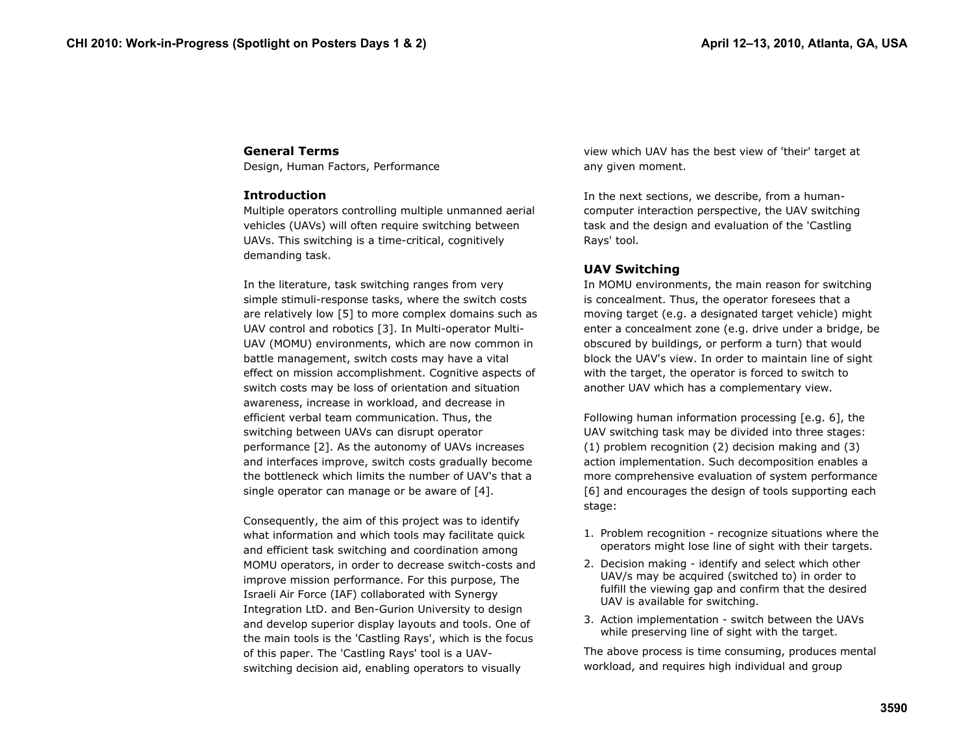# **General Terms**

Design, Human Factors, Performance

## **Introduction**

Multiple operators controlling multiple unmanned aerial vehicles (UAVs) will often require switching between UAVs. This switching is a time-critical, cognitively demanding task.

In the literature, task switching ranges from very simple stimuli-response tasks, where the switch costs are relatively low [5] to more complex domains such as UAV control and robotics [3]. In Multi-operator Multi-UAV (MOMU) environments, which are now common in battle management, switch costs may have a vital effect on mission accomplishment. Cognitive aspects of switch costs may be loss of orientation and situation awareness, increase in workload, and decrease in efficient verbal team communication. Thus, the switching between UAVs can disrupt operator performance [2]. As the autonomy of UAVs increases and interfaces improve, switch costs gradually become the bottleneck which limits the number of UAV's that a single operator can manage or be aware of [4].

Consequently, the aim of this project was to identify what information and which tools may facilitate quick and efficient task switching and coordination among MOMU operators, in order to decrease switch-costs and improve mission performance. For this purpose, The Israeli Air Force (IAF) collaborated with Synergy Integration LtD. and Ben-Gurion University to design and develop superior display layouts and tools. One of the main tools is the 'Castling Rays', which is the focus of this paper. The 'Castling Rays' tool is a UAVswitching decision aid, enabling operators to visually

view which UAV has the best view of 'their' target at any given moment.

In the next sections, we describe, from a humancomputer interaction perspective, the UAV switching task and the design and evaluation of the 'Castling Rays' tool.

# **UAV Switching**

In MOMU environments, the main reason for switching is concealment. Thus, the operator foresees that a moving target (e.g. a designated target vehicle) might enter a concealment zone (e.g. drive under a bridge, be obscured by buildings, or perform a turn) that would block the UAV's view. In order to maintain line of sight with the target, the operator is forced to switch to another UAV which has a complementary view.

Following human information processing [e.g. 6], the UAV switching task may be divided into three stages: (1) problem recognition (2) decision making and (3) action implementation. Such decomposition enables a more comprehensive evaluation of system performance [6] and encourages the design of tools supporting each stage:

- 1. Problem recognition recognize situations where the operators might lose line of sight with their targets.
- 2. Decision making identify and select which other UAV/s may be acquired (switched to) in order to fulfill the viewing gap and confirm that the desired UAV is available for switching.
- 3. Action implementation switch between the UAVs while preserving line of sight with the target.

The above process is time consuming, produces mental workload, and requires high individual and group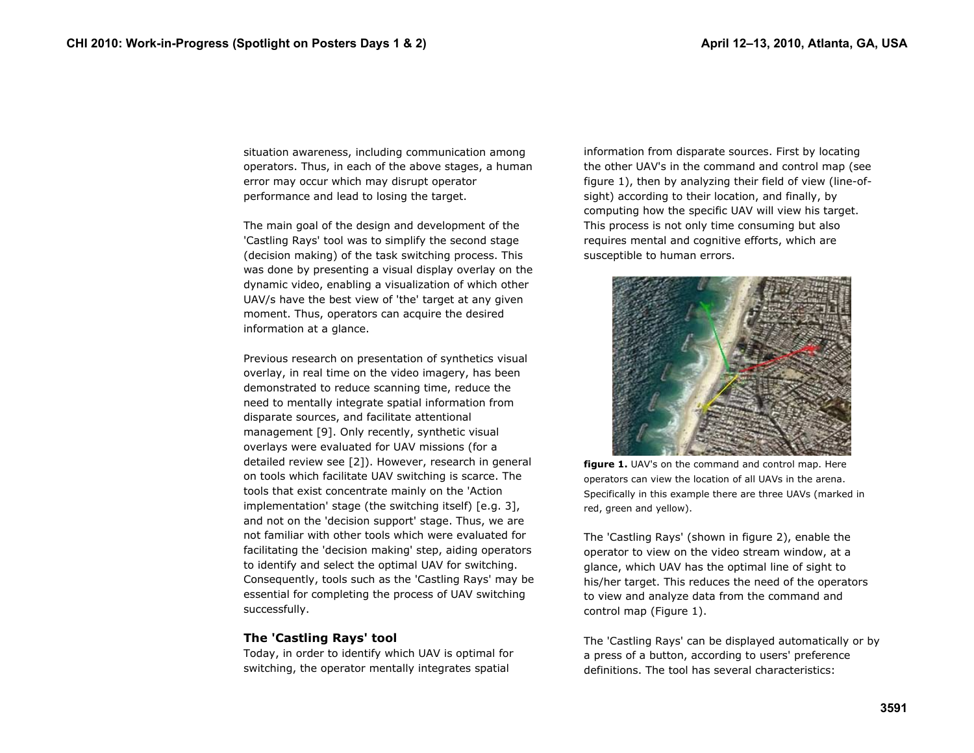situation awareness, including communication among operators. Thus, in each of the above stages, a human error may occur which may disrupt operator performance and lead to losing the target.

The main goal of the design and development of the 'Castling Rays' tool was to simplify the second stage (decision making) of the task switching process. This was done by presenting a visual display overlay on the dynamic video, enabling a visualization of which other UAV/s have the best view of 'the' target at any given moment. Thus, operators can acquire the desired information at a glance.

Previous research on presentation of synthetics visual overlay, in real time on the video imagery, has been demonstrated to reduce scanning time, reduce the need to mentally integrate spatial information from disparate sources, and facilitate attentional management [9]. Only recently, synthetic visual overlays were evaluated for UAV missions (for a detailed review see [2]). However, research in general on tools which facilitate UAV switching is scarce. The tools that exist concentrate mainly on the 'Action implementation' stage (the switching itself) [e.g. 3], and not on the 'decision support' stage. Thus, we are not familiar with other tools which were evaluated for facilitating the 'decision making' step, aiding operators to identify and select the optimal UAV for switching. Consequently, tools such as the 'Castling Rays' may be essential for completing the process of UAV switching successfully.

# **The 'Castling Rays' tool**

Today, in order to identify which UAV is optimal for switching, the operator mentally integrates spatial

information from disparate sources. First by locating the other UAV's in the command and control map (see figure 1), then by analyzing their field of view (line-ofsight) according to their location, and finally, by computing how the specific UAV will view his target. This process is not only time consuming but also requires mental and cognitive efforts, which are susceptible to human errors.



**figure 1.** UAV's on the command and control map. Here operators can view the location of all UAVs in the arena. Specifically in this example there are three UAVs (marked in red, green and yellow).

The 'Castling Rays' (shown in figure 2), enable the operator to view on the video stream window, at a glance, which UAV has the optimal line of sight to his/her target. This reduces the need of the operators to view and analyze data from the command and control map (Figure 1).

The 'Castling Rays' can be displayed automatically or by a press of a button, according to users' preference definitions. The tool has several characteristics: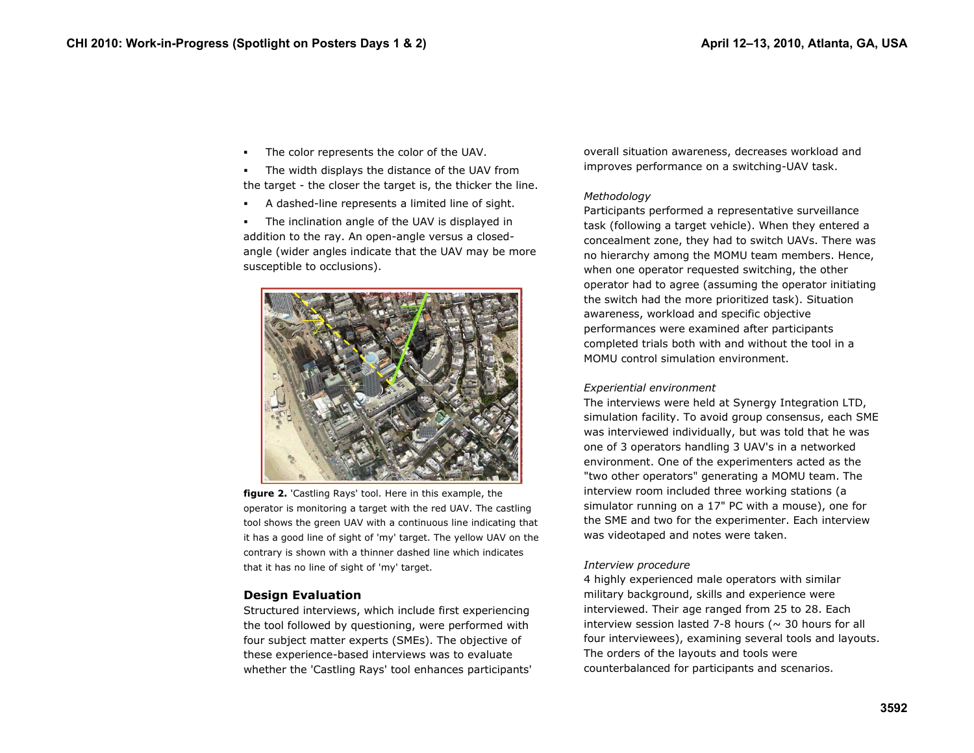г The color represents the color of the UAV.

г The width displays the distance of the UAV from the target - the closer the target is, the thicker the line.

г A dashed-line represents a limited line of sight.

г The inclination angle of the UAV is displayed in addition to the ray. An open-angle versus a closedangle (wider angles indicate that the UAV may be more susceptible to occlusions).



**figure 2.** 'Castling Rays' tool. Here in this example, the operator is monitoring a target with the red UAV. The castling tool shows the green UAV with a continuous line indicating that it has a good line of sight of 'my' target. The yellow UAV on the contrary is shown with a thinner dashed line which indicates that it has no line of sight of 'my' target.

# **Design Evaluation**

Structured interviews, which include first experiencing the tool followed by questioning, were performed with four subject matter experts (SMEs). The objective of these experience-based interviews was to evaluate whether the 'Castling Rays' tool enhances participants' overall situation awareness, decreases workload and improves performance on a switching-UAV task.

## *Methodology*

Participants performed a representative surveillance task (following a target vehicle). When they entered a concealment zone, they had to switch UAVs. There was no hierarchy among the MOMU team members. Hence, when one operator requested switching, the other operator had to agree (assuming the operator initiating the switch had the more prioritized task). Situation awareness, workload and specific objective performances were examined after participants completed trials both with and without the tool in a MOMU control simulation environment.

### *Experiential environment*

The interviews were held at Synergy Integration LTD, simulation facility. To avoid group consensus, each SME was interviewed individually, but was told that he was one of 3 operators handling 3 UAV's in a networked environment. One of the experimenters acted as the "two other operators" generating a MOMU team. The interview room included three working stations (a simulator running on a 17" PC with a mouse), one for the SME and two for the experimenter. Each interview was videotaped and notes were taken.

# *Interview procedure*

4 highly experienced male operators with similar military background, skills and experience were interviewed. Their age ranged from 25 to 28. Each interview session lasted 7-8 hours ( $\sim$  30 hours for all four interviewees), examining several tools and layouts. The orders of the layouts and tools were counterbalanced for participants and scenarios.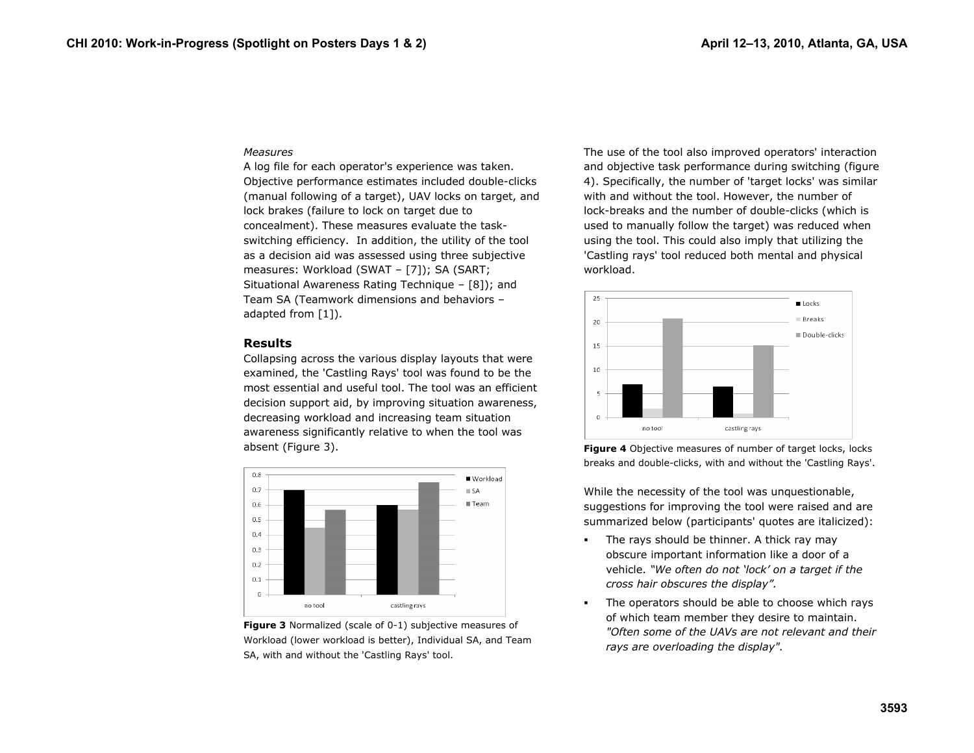#### *Measures*

A log file for each operator's experience was taken. Objective performance estimates included double-clicks (manual following of a target), UAV locks on target, and lock brakes (failure to lock on target due to concealment). These measures evaluate the taskswitching efficiency. In addition, the utility of the tool as a decision aid was assessed using three subjective measures: Workload (SWAT – [7]); SA (SART; Situational Awareness Rating Technique – [8]); and Team SA (Teamwork dimensions and behaviors – adapted from [1]).

#### **Results**

Collapsing across the various display layouts that were examined, the 'Castling Rays' tool was found to be the most essential and useful tool. The tool was an efficient decision support aid, by improving situation awareness, decreasing workload and increasing team situation awareness significantly relative to when the tool was absent (Figure 3).



**Figure 3** Normalized (scale of 0-1) subjective measures of Workload (lower workload is better), Individual SA, and Team SA, with and without the 'Castling Rays' tool.

The use of the tool also improved operators' interaction and objective task performance during switching (figure 4). Specifically, the number of 'target locks' was similar with and without the tool. However, the number of lock-breaks and the number of double-clicks (which is used to manually follow the target) was reduced when using the tool. This could also imply that utilizing the 'Castling rays' tool reduced both mental and physical workload.



**Figure 4** Objective measures of number of target locks, locks breaks and double-clicks, with and without the 'Castling Rays'.

While the necessity of the tool was unquestionable, suggestions for improving the tool were raised and are summarized below (participants' quotes are italicized):

- $\blacksquare$  The rays should be thinner. A thick ray may obscure important information like a door of a vehicle. *"We often do not 'lock' on a target if the cross hair obscures the display".*
- п The operators should be able to choose which rays of which team member they desire to maintain. *"Often some of the UAVs are not relevant and their rays are overloading the display".*